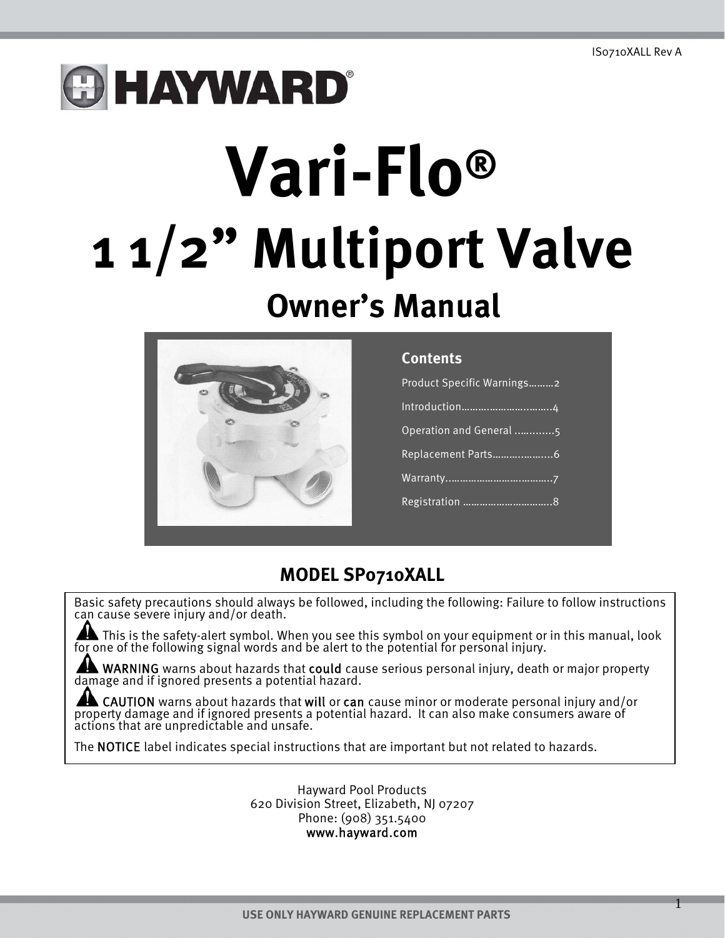# **B HAYWARD®**

# **Vari-Flo® 1 1/2" Multiport Valve Owner's Manual**



#### **Contents**

| Product Specific Warnings2 |  |
|----------------------------|--|
|                            |  |
| Operation and General 5    |  |
|                            |  |
|                            |  |
|                            |  |
|                            |  |

#### **MODEL SP0710XALL**

Basic safety precautions should always be followed, including the following: Failure to follow instructions can cause severe injury and/or death.

This is the safety-alert symbol. When you see this symbol on your equipment or in this manual, look for one of the following signal words and be alert to the potential for personal injury.

WARNING warns about hazards that could cause serious personal injury, death or major property damage and if ignored presents a potential hazard.

**AND CAUTION** warns about hazards that will or can cause minor or moderate personal injury and/or property damage and if ignored presents a potential hazard. It can also make consumers aware of actions that are unpredictab

The NOTICE label indicates special instructions that are important but not related to hazards.

Hayward Pool Products 620 Division Street, Elizabeth, NJ 07207 Phone: (908) 351.5400 www.hayward.com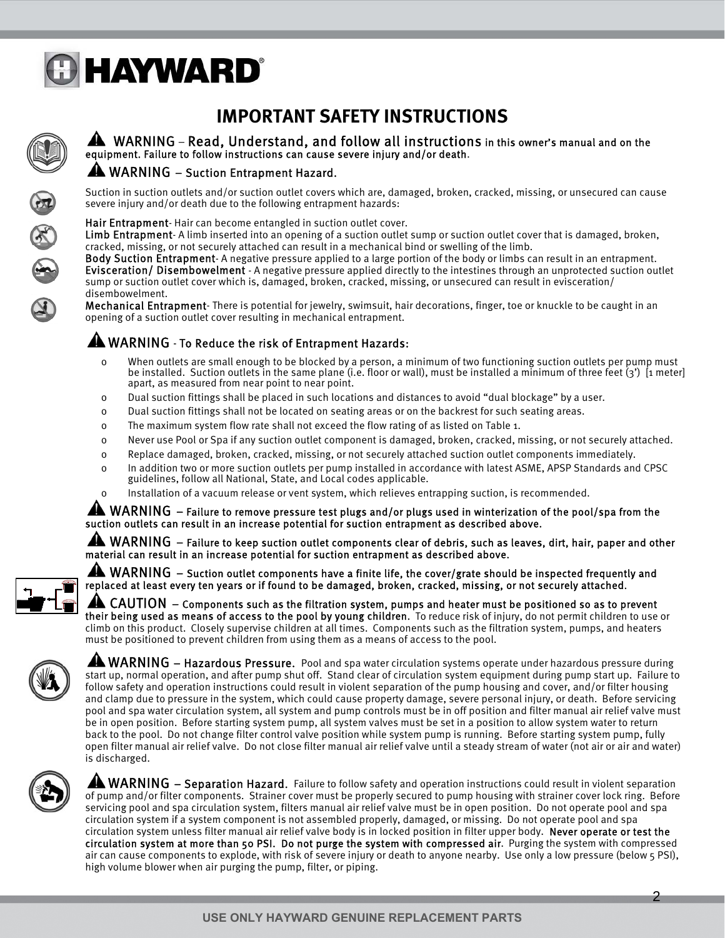

#### **IMPORTANT SAFETY INSTRUCTIONS**



#### WARNING – Read, Understand, and follow all instructions in this owner's manual and on the equipment. Failure to follow instructions can cause severe injury and/or death.

#### A WARNING – Suction Entrapment Hazard.

Suction in suction outlets and/or suction outlet covers which are, damaged, broken, cracked, missing, or unsecured can cause severe injury and/or death due to the following entrapment hazards:

#### Hair Entrapment- Hair can become entangled in suction outlet cover.

Limb Entrapment-A limb inserted into an opening of a suction outlet sump or suction outlet cover that is damaged, broken, cracked, missing, or not securely attached can result in a mechanical bind or swelling of the limb.

Body Suction Entrapment- A negative pressure applied to a large portion of the body or limbs can result in an entrapment. Evisceration/ Disembowelment - A negative pressure applied directly to the intestines through an unprotected suction outlet sump or suction outlet cover which is, damaged, broken, cracked, missing, or unsecured can result in evisceration/ disembowelment.

Mechanical Entrapment- There is potential for jewelry, swimsuit, hair decorations, finger, toe or knuckle to be caught in an opening of a suction outlet cover resulting in mechanical entrapment.

#### A WARNING - To Reduce the risk of Entrapment Hazards:

- o When outlets are small enough to be blocked by a person, a minimum of two functioning suction outlets per pump must be installed. Suction outlets in the same plane (i.e. floor or wall), must be installed a minimum of three feet (3') [1 meter] apart, as measured from near point to near point.
- o Dual suction fittings shall be placed in such locations and distances to avoid "dual blockage" by a user.
- o Dual suction fittings shall not be located on seating areas or on the backrest for such seating areas.
- o The maximum system flow rate shall not exceed the flow rating of as listed on Table 1.
- o Never use Pool or Spa if any suction outlet component is damaged, broken, cracked, missing, or not securely attached.
- o Replace damaged, broken, cracked, missing, or not securely attached suction outlet components immediately.
- o In addition two or more suction outlets per pump installed in accordance with latest ASME, APSP Standards and CPSC guidelines, follow all National, State, and Local codes applicable.
- o Installation of a vacuum release or vent system, which relieves entrapping suction, is recommended.

#### AN WARNING – Failure to remove pressure test plugs and/or plugs used in winterization of the pool/spa from the suction outlets can result in an increase potential for suction entrapment as described above.

AN WARNING – Failure to keep suction outlet components clear of debris, such as leaves, dirt, hair, paper and other material can result in an increase potential for suction entrapment as described above.

AL WARNING – Suction outlet components have a finite life, the cover/grate should be inspected frequently and replaced at least every ten years or if found to be damaged, broken, cracked, missing, or not securely attached.

 $\blacktriangle$  CAUTION – Components such as the filtration system, pumps and heater must be positioned so as to prevent their being used as means of access to the pool by young children. To reduce risk of injury, do not permit children to use or climb on this product. Closely supervise children at all times. Components such as the filtration system, pumps, and heaters must be positioned to prevent children from using them as a means of access to the pool.



**AN WARNING – Hazardous Pressure.** Pool and spa water circulation systems operate under hazardous pressure during start up, normal operation, and after pump shut off. Stand clear of circulation system equipment during pump start up. Failure to follow safety and operation instructions could result in violent separation of the pump housing and cover, and/or filter housing and clamp due to pressure in the system, which could cause property damage, severe personal injury, or death. Before servicing pool and spa water circulation system, all system and pump controls must be in off position and filter manual air relief valve must be in open position. Before starting system pump, all system valves must be set in a position to allow system water to return back to the pool. Do not change filter control valve position while system pump is running. Before starting system pump, fully open filter manual air relief valve. Do not close filter manual air relief valve until a steady stream of water (not air or air and water) is discharged.



**A WARNING** – Separation Hazard. Failure to follow safety and operation instructions could result in violent separation of pump and/or filter components. Strainer cover must be properly secured to pump housing with strainer cover lock ring. Before servicing pool and spa circulation system, filters manual air relief valve must be in open position. Do not operate pool and spa circulation system if a system component is not assembled properly, damaged, or missing. Do not operate pool and spa circulation system unless filter manual air relief valve body is in locked position in filter upper body. Never operate or test the circulation system at more than 50 PSI. Do not purge the system with compressed air. Purging the system with compressed air can cause components to explode, with risk of severe injury or death to anyone nearby. Use only a low pressure (below 5 PSI), high volume blower when air purging the pump, filter, or piping.

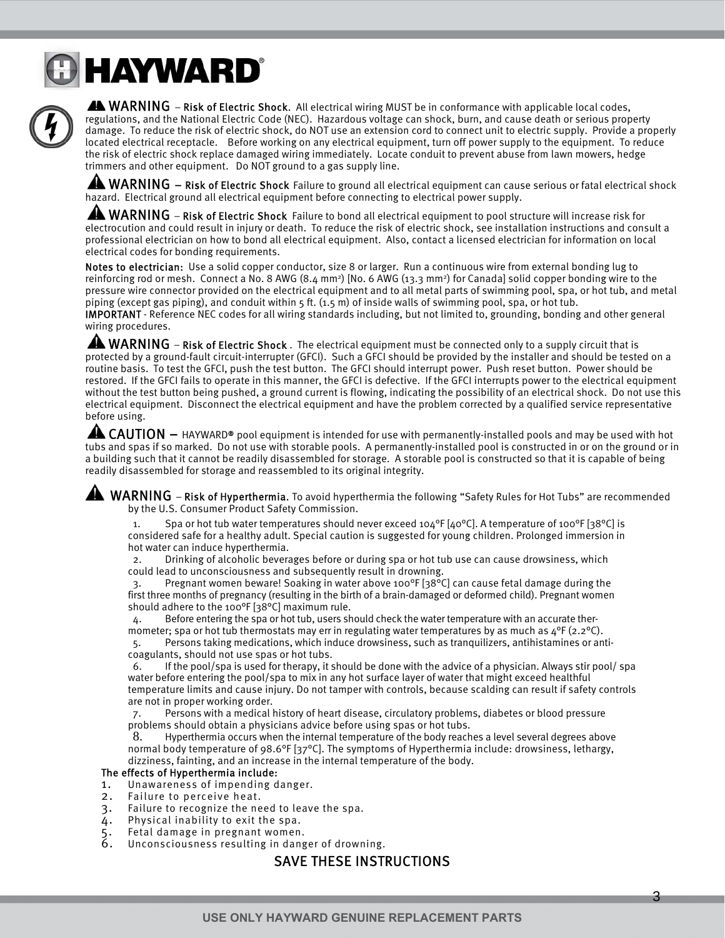### **& HAYWARD®**



AN WARNING – Risk of Electric Shock. All electrical wiring MUST be in conformance with applicable local codes, regulations, and the National Electric Code (NEC). Hazardous voltage can shock, burn, and cause death or serious property damage. To reduce the risk of electric shock, do NOT use an extension cord to connect unit to electric supply. Provide a properly located electrical receptacle. Before working on any electrical equipment, turn off power supply to the equipment. To reduce the risk of electric shock replace damaged wiring immediately. Locate conduit to prevent abuse from lawn mowers, hedge trimmers and other equipment. Do NOT ground to a gas supply line.

A WARNING - Risk of Electric Shock Failure to ground all electrical equipment can cause serious or fatal electrical shock hazard. Electrical ground all electrical equipment before connecting to electrical power supply.

AL WARNING – Risk of Electric Shock Failure to bond all electrical equipment to pool structure will increase risk for electrocution and could result in injury or death. To reduce the risk of electric shock, see installation instructions and consult a professional electrician on how to bond all electrical equipment. Also, contact a licensed electrician for information on local electrical codes for bonding requirements.

Notes to electrician: Use a solid copper conductor, size 8 or larger. Run a continuous wire from external bonding lug to reinforcing rod or mesh. Connect a No. 8 AWG  $(8.4 \text{ mm}^2)$  [No. 6 AWG  $(13.3 \text{ mm}^2)$  for Canada] solid copper bonding wire to the pressure wire connector provided on the electrical equipment and to all metal parts of swimming pool, spa, or hot tub, and metal piping (except gas piping), and conduit within 5 ft. (1.5 m) of inside walls of swimming pool, spa, or hot tub. IMPORTANT - Reference NEC codes for all wiring standards including, but not limited to, grounding, bonding and other general wiring procedures.

A WARNING – Risk of Electric Shock. The electrical equipment must be connected only to a supply circuit that is protected by a ground-fault circuit-interrupter (GFCI). Such a GFCI should be provided by the installer and should be tested on a routine basis. To test the GFCI, push the test button. The GFCI should interrupt power. Push reset button. Power should be restored. If the GFCI fails to operate in this manner, the GFCI is defective. If the GFCI interrupts power to the electrical equipment without the test button being pushed, a ground current is flowing, indicating the possibility of an electrical shock. Do not use this electrical equipment. Disconnect the electrical equipment and have the problem corrected by a qualified service representative before using.

**AL CAUTION** – HAYWARD® pool equipment is intended for use with permanently-installed pools and may be used with hot tubs and spas if so marked. Do not use with storable pools. A permanently-installed pool is constructed in or on the ground or in a building such that it cannot be readily disassembled for storage. A storable pool is constructed so that it is capable of being readily disassembled for storage and reassembled to its original integrity.

 WARNING – Risk of Hyperthermia. To avoid hyperthermia the following "Safety Rules for Hot Tubs" are recommended by the U.S. Consumer Product Safety Commission.

Spa or hot tub water temperatures should never exceed 104°F [40°C]. A temperature of 100°F [38°C] is considered safe for a healthy adult. Special caution is suggested for young children. Prolonged immersion in hot water can induce hyperthermia.

2. Drinking of alcoholic beverages before or during spa or hot tub use can cause drowsiness, which could lead to unconsciousness and subsequently result in drowning.

3. Pregnant women beware! Soaking in water above 100°F [38°C] can cause fetal damage during the first three months of pregnancy (resulting in the birth of a brain-damaged or deformed child). Pregnant women should adhere to the 100°F [38°C] maximum rule.

4. Before entering the spa or hot tub, users should check the water temperature with an accurate thermometer; spa or hot tub thermostats may err in regulating water temperatures by as much as 4°F (2.2°C).

5. Persons taking medications, which induce drowsiness, such as tranquilizers, antihistamines or anticoagulants, should not use spas or hot tubs.

6. If the pool/spa is used for therapy, it should be done with the advice of a physician. Always stir pool/ spa water before entering the pool/spa to mix in any hot surface layer of water that might exceed healthful temperature limits and cause injury. Do not tamper with controls, because scalding can result if safety controls are not in proper working order.

7. Persons with a medical history of heart disease, circulatory problems, diabetes or blood pressure problems should obtain a physicians advice before using spas or hot tubs.

8. Hyperthermia occurs when the internal temperature of the body reaches a level several degrees above normal body temperature of 98.6°F [37°C]. The symptoms of Hyperthermia include: drowsiness, lethargy, dizziness, fainting, and an increase in the internal temperature of the body.

#### The effects of Hyperthermia include:

- 1. Unawareness of impending danger.
- 2. Failure to perceive heat.
- 3. Failure to recognize the need to leave the spa.
- 4. Physical inability to exit the spa.<br>5. Fetal damage in pregnant women.<br>6. Unconsciousness resulting in dang
- Fetal damage in pregnant women.
- Unconsciousness resulting in danger of drowning.

#### SAVE THESE INSTRUCTIONS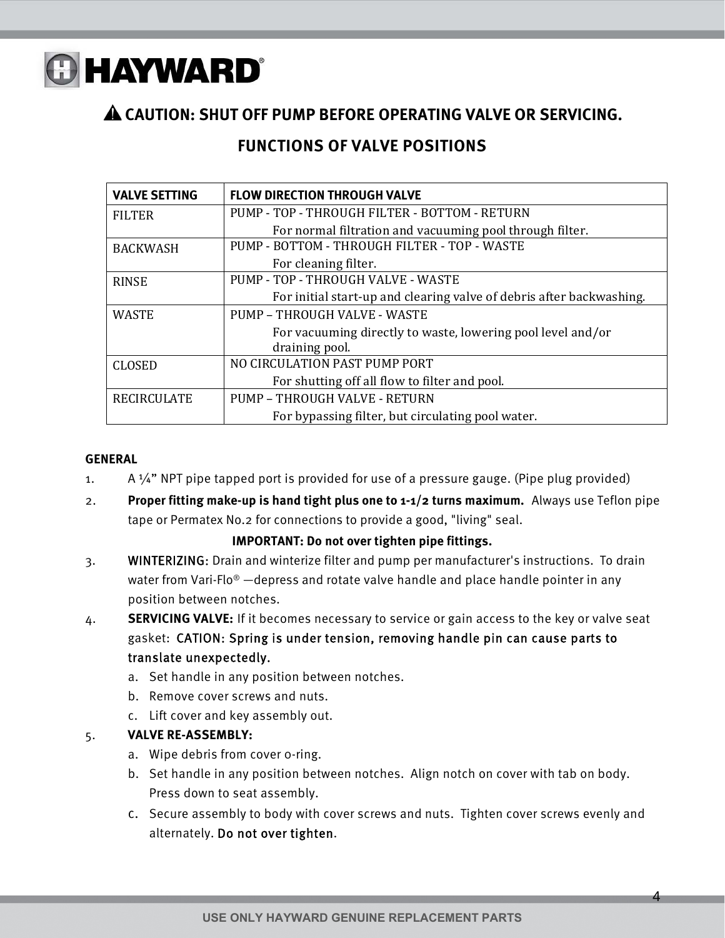

#### **CAUTION: SHUT OFF PUMP BEFORE OPERATING VALVE OR SERVICING.**

#### **FUNCTIONS OF VALVE POSITIONS**

| <b>VALVE SETTING</b> | <b>FLOW DIRECTION THROUGH VALVE</b>                                  |  |  |
|----------------------|----------------------------------------------------------------------|--|--|
| <b>FILTER</b>        | PUMP - TOP - THROUGH FILTER - BOTTOM - RETURN                        |  |  |
|                      | For normal filtration and vacuuming pool through filter.             |  |  |
| <b>BACKWASH</b>      | PUMP - BOTTOM - THROUGH FILTER - TOP - WASTE                         |  |  |
|                      | For cleaning filter.                                                 |  |  |
| <b>RINSE</b>         | PUMP - TOP - THROUGH VALVE - WASTE                                   |  |  |
|                      | For initial start-up and clearing valve of debris after backwashing. |  |  |
| <b>WASTE</b>         | PUMP - THROUGH VALVE - WASTE                                         |  |  |
|                      | For vacuuming directly to waste, lowering pool level and/or          |  |  |
|                      | draining pool.                                                       |  |  |
| <b>CLOSED</b>        | NO CIRCULATION PAST PUMP PORT                                        |  |  |
|                      | For shutting off all flow to filter and pool.                        |  |  |
| <b>RECIRCULATE</b>   | PUMP - THROUGH VALVE - RETURN                                        |  |  |
|                      | For bypassing filter, but circulating pool water.                    |  |  |

#### **GENERAL**

- 1. A  $\frac{1}{4}$ " NPT pipe tapped port is provided for use of a pressure gauge. (Pipe plug provided)
- 2. **Proper fitting make-up is hand tight plus one to 1-1/2 turns maximum.** Always use Teflon pipe tape or Permatex No.2 for connections to provide a good, "living" seal.

#### **IMPORTANT: Do not over tighten pipe fittings.**

- 3. WINTERIZING: Drain and winterize filter and pump per manufacturer's instructions. To drain water from Vari-Flo<sup>®</sup> —depress and rotate valve handle and place handle pointer in any position between notches.
- 4. **SERVICING VALVE:** If it becomes necessary to service or gain access to the key or valve seat gasket: CATION: Spring is under tension, removing handle pin can cause parts to translate unexpectedly.
	- a. Set handle in any position between notches.
	- b. Remove cover screws and nuts.
	- c. Lift cover and key assembly out.

#### 5. **VALVE RE-ASSEMBLY:**

- a. Wipe debris from cover 0-ring.
- b. Set handle in any position between notches. Align notch on cover with tab on body. Press down to seat assembly.
- c. Secure assembly to body with cover screws and nuts. Tighten cover screws evenly and alternately. Do not over tighten.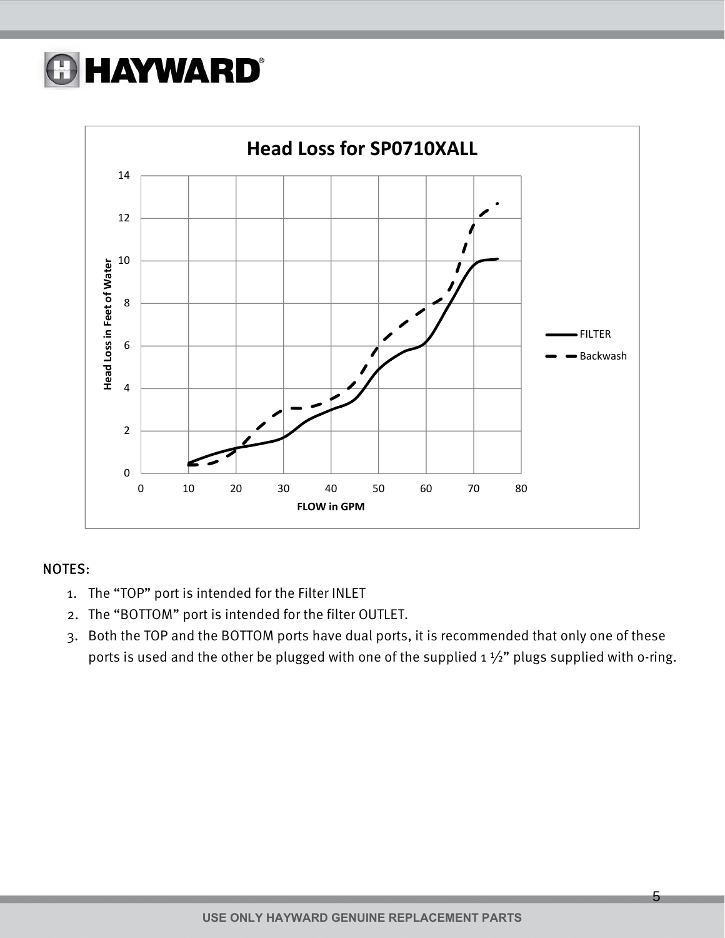## **A HAYWARD®**



#### NOTES:

- 1. The "TOP" port is intended for the Filter INLET
- 2. The "BOTTOM" port is intended for the filter OUTLET.
- 3. Both the TOP and the BOTTOM ports have dual ports, it is recommended that only one of these ports is used and the other be plugged with one of the supplied  $1\frac{1}{2}$ " plugs supplied with o-ring.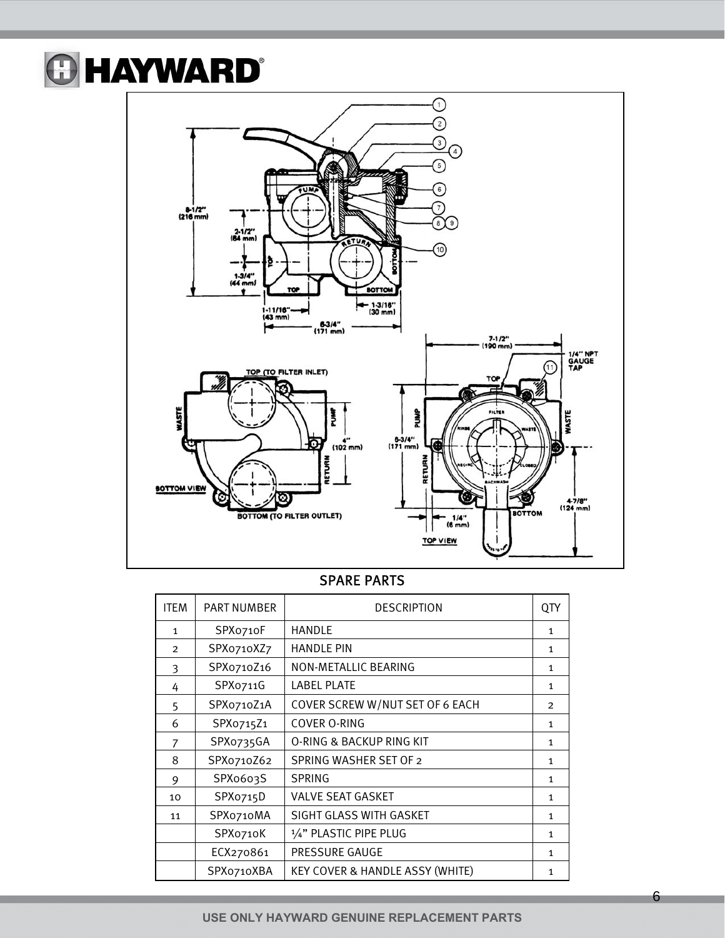### **@HAYWARD®**



#### SPARE PARTS

| <b>ITEM</b>    | <b>PART NUMBER</b> | <b>DESCRIPTION</b>                         | QTY            |
|----------------|--------------------|--------------------------------------------|----------------|
| 1              | SPX0710F           | <b>HANDLE</b>                              | 1              |
| $\overline{2}$ | SPX0710XZ7         | <b>HANDLE PIN</b>                          | $\mathbf{1}$   |
| 3              | SPX0710Z16         | NON-METALLIC BEARING                       | $\mathbf{1}$   |
| 4              | SPXo711G           | <b>LABEL PLATE</b>                         | $\mathbf{1}$   |
| 5              | SPX0710Z1A         | COVER SCREW W/NUT SET OF 6 EACH            | $\overline{2}$ |
| 6              | SPX0715Z1          | <b>COVER O-RING</b>                        | 1              |
| 7              | SPX0735GA          | O-RING & BACKUP RING KIT                   | $\mathbf{1}$   |
| 8              | SPX0710Z62         | SPRING WASHER SET OF 2                     | $\mathbf{1}$   |
| 9              | SPX0603S           | <b>SPRING</b>                              | $\mathbf{1}$   |
| 10             | SPXo715D           | VALVE SEAT GASKET                          | $\mathbf{1}$   |
| 11             | SPXo710MA          | SIGHT GLASS WITH GASKET                    | $\mathbf{1}$   |
|                | SPX0710K           | 1/4" PLASTIC PIPE PLUG                     | 1              |
|                | ECX270861          | PRESSURE GAUGE                             | 1              |
|                | SPX0710XBA         | <b>KEY COVER &amp; HANDLE ASSY (WHITE)</b> | 1              |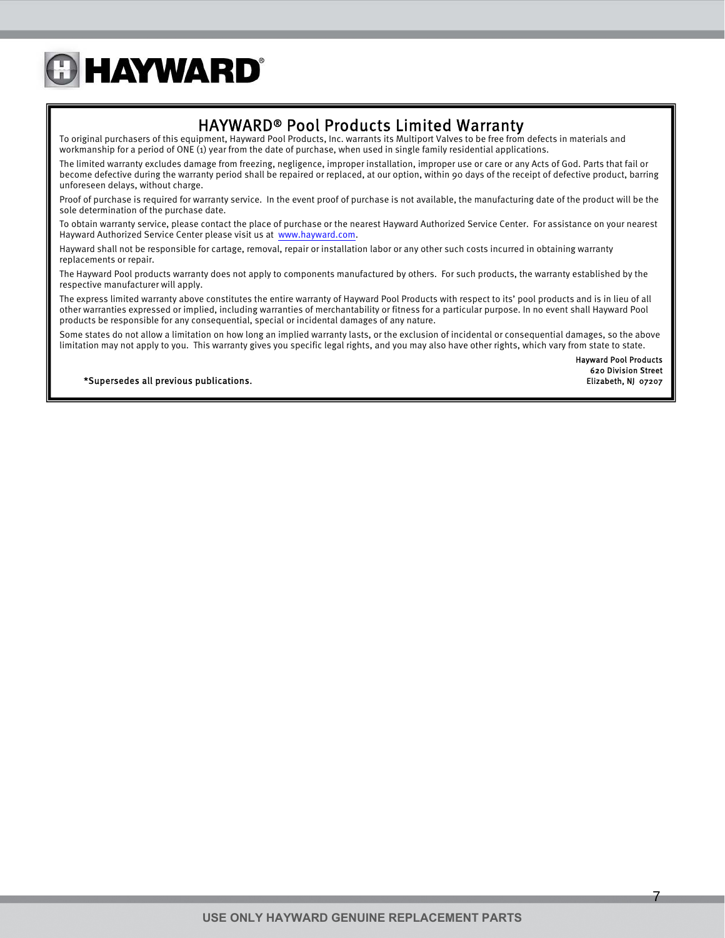### **GHAYWARD®**

HAYWARD® Pool Products Limited Warranty<br>To original purchasers of this equipment, Hayward Pool Products, Inc. warrants its Multiport Valves to be free from defects in materials and workmanship for a period of ONE (1) year from the date of purchase, when used in single family residential applications.

The limited warranty excludes damage from freezing, negligence, improper installation, improper use or care or any Acts of God. Parts that fail or become defective during the warranty period shall be repaired or replaced, at our option, within 90 days of the receipt of defective product, barring unforeseen delays, without charge.

Proof of purchase is required for warranty service. In the event proof of purchase is not available, the manufacturing date of the product will be the sole determination of the purchase date.

To obtain warranty service, please contact the place of purchase or the nearest Hayward Authorized Service Center. For assistance on your nearest Hayward Authorized Service Center please visit us at www.hayward.com.

Hayward shall not be responsible for cartage, removal, repair or installation labor or any other such costs incurred in obtaining warranty replacements or repair.

The Hayward Pool products warranty does not apply to components manufactured by others. For such products, the warranty established by the respective manufacturer will apply.

The express limited warranty above constitutes the entire warranty of Hayward Pool Products with respect to its' pool products and is in lieu of all other warranties expressed or implied, including warranties of merchantability or fitness for a particular purpose. In no event shall Hayward Pool products be responsible for any consequential, special or incidental damages of any nature.

Some states do not allow a limitation on how long an implied warranty lasts, or the exclusion of incidental or consequential damages, so the above limitation may not apply to you. This warranty gives you specific legal rights, and you may also have other rights, which vary from state to state.

> Hayward Pool Products 620 Division Street

\*Supersedes all previous publications. Elizabeth, NJ 07207